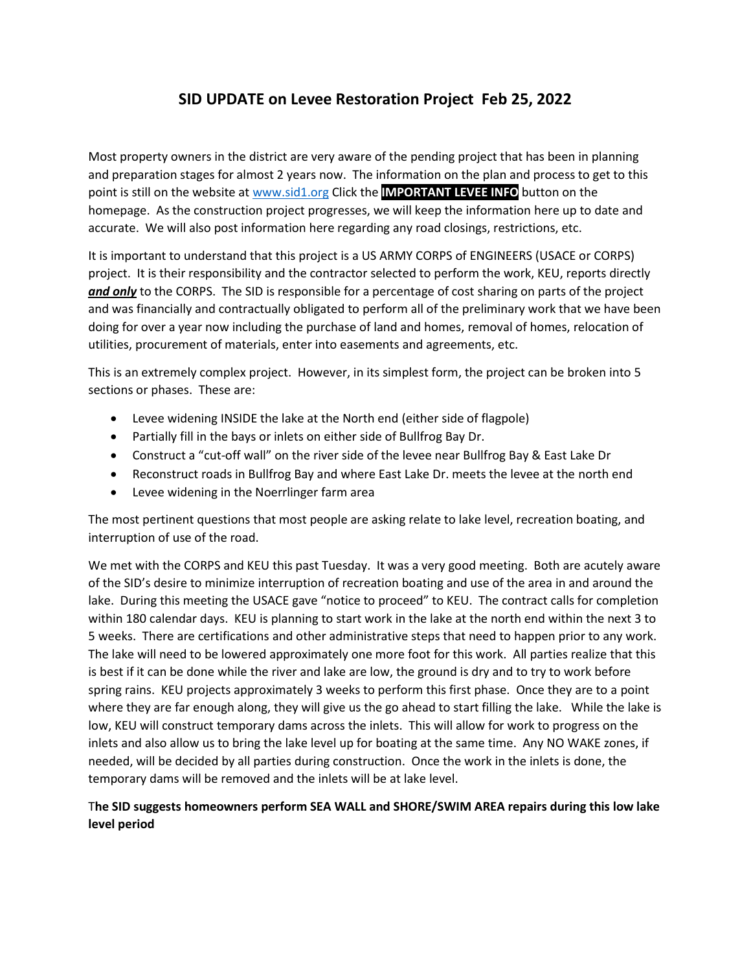## **SID UPDATE on Levee Restoration Project Feb 25, 2022**

Most property owners in the district are very aware of the pending project that has been in planning and preparation stages for almost 2 years now. The information on the plan and process to get to this point is still on the website at [www.sid1.org](http://www.sid1.org/) Click the **IMPORTANT LEVEE INFO** button on the homepage. As the construction project progresses, we will keep the information here up to date and accurate. We will also post information here regarding any road closings, restrictions, etc.

It is important to understand that this project is a US ARMY CORPS of ENGINEERS (USACE or CORPS) project. It is their responsibility and the contractor selected to perform the work, KEU, reports directly *and only* to the CORPS. The SID is responsible for a percentage of cost sharing on parts of the project and was financially and contractually obligated to perform all of the preliminary work that we have been doing for over a year now including the purchase of land and homes, removal of homes, relocation of utilities, procurement of materials, enter into easements and agreements, etc.

This is an extremely complex project. However, in its simplest form, the project can be broken into 5 sections or phases. These are:

- Levee widening INSIDE the lake at the North end (either side of flagpole)
- Partially fill in the bays or inlets on either side of Bullfrog Bay Dr.
- Construct a "cut-off wall" on the river side of the levee near Bullfrog Bay & East Lake Dr
- Reconstruct roads in Bullfrog Bay and where East Lake Dr. meets the levee at the north end
- Levee widening in the Noerrlinger farm area

The most pertinent questions that most people are asking relate to lake level, recreation boating, and interruption of use of the road.

We met with the CORPS and KEU this past Tuesday. It was a very good meeting. Both are acutely aware of the SID's desire to minimize interruption of recreation boating and use of the area in and around the lake. During this meeting the USACE gave "notice to proceed" to KEU. The contract calls for completion within 180 calendar days. KEU is planning to start work in the lake at the north end within the next 3 to 5 weeks. There are certifications and other administrative steps that need to happen prior to any work. The lake will need to be lowered approximately one more foot for this work. All parties realize that this is best if it can be done while the river and lake are low, the ground is dry and to try to work before spring rains. KEU projects approximately 3 weeks to perform this first phase. Once they are to a point where they are far enough along, they will give us the go ahead to start filling the lake. While the lake is low, KEU will construct temporary dams across the inlets. This will allow for work to progress on the inlets and also allow us to bring the lake level up for boating at the same time. Any NO WAKE zones, if needed, will be decided by all parties during construction. Once the work in the inlets is done, the temporary dams will be removed and the inlets will be at lake level.

## T**he SID suggests homeowners perform SEA WALL and SHORE/SWIM AREA repairs during this low lake level period**